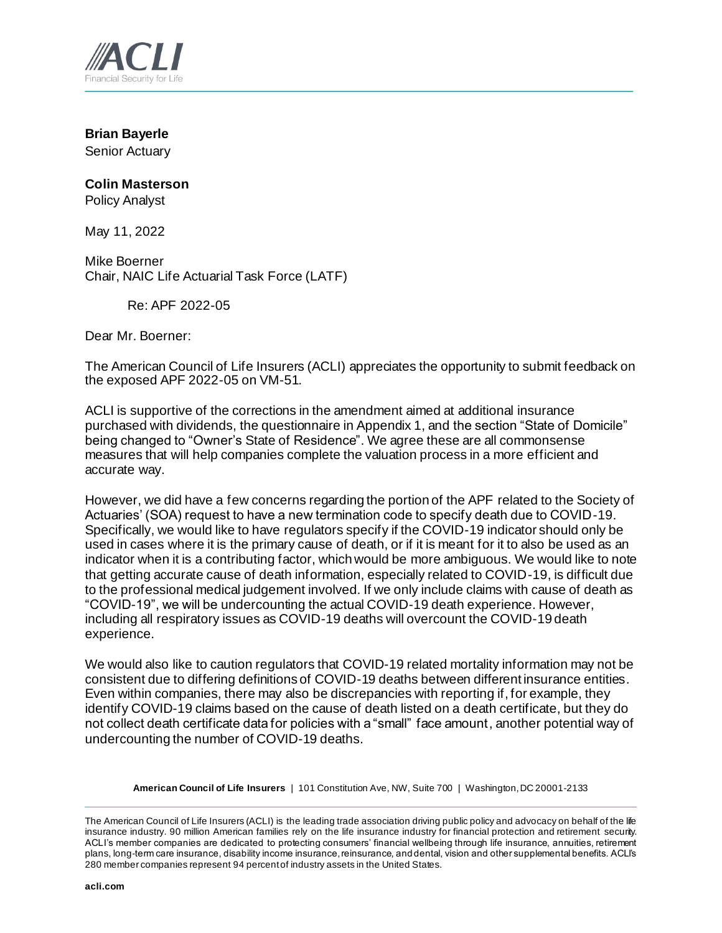

**Brian Bayerle** Senior Actuary

## **Colin Masterson**

Policy Analyst

May 11, 2022

Mike Boerner Chair, NAIC Life Actuarial Task Force (LATF)

Re: APF 2022-05

Dear Mr. Boerner:

The American Council of Life Insurers (ACLI) appreciates the opportunity to submit feedback on the exposed APF 2022-05 on VM-51.

ACLI is supportive of the corrections in the amendment aimed at additional insurance purchased with dividends, the questionnaire in Appendix 1, and the section "State of Domicile" being changed to "Owner's State of Residence". We agree these are all commonsense measures that will help companies complete the valuation process in a more efficient and accurate way.

However, we did have a few concerns regarding the portion of the APF related to the Society of Actuaries' (SOA) request to have a new termination code to specify death due to COVID-19. Specifically, we would like to have regulators specify if the COVID-19 indicator should only be used in cases where it is the primary cause of death, or if it is meant for it to also be used as an indicator when it is a contributing factor, which would be more ambiguous. We would like to note that getting accurate cause of death information, especially related to COVID-19, is difficult due to the professional medical judgement involved. If we only include claims with cause of death as "COVID-19", we will be undercounting the actual COVID-19 death experience. However, including all respiratory issues as COVID-19 deaths will overcount the COVID-19 death experience.

We would also like to caution regulators that COVID-19 related mortality information may not be consistent due to differing definitions of COVID-19 deaths between different insurance entities. Even within companies, there may also be discrepancies with reporting if, for example, they identify COVID-19 claims based on the cause of death listed on a death certificate, but they do not collect death certificate data for policies with a "small" face amount, another potential way of undercounting the number of COVID-19 deaths.

**American Council of Life Insurers** | 101 Constitution Ave, NW, Suite 700 | Washington, DC 20001-2133

The American Council of Life Insurers (ACLI) is the leading trade association driving public policy and advocacy on behalf of the life insurance industry. 90 million American families rely on the life insurance industry for financial protection and retirement security. ACLI's member companies are dedicated to protecting consumers' financial wellbeing through life insurance, annuities, retirement plans, long-term care insurance, disability income insurance, reinsurance, and dental, vision and other supplemental benefits. ACLI's 280 member companies represent 94 percent of industry assets in the United States.